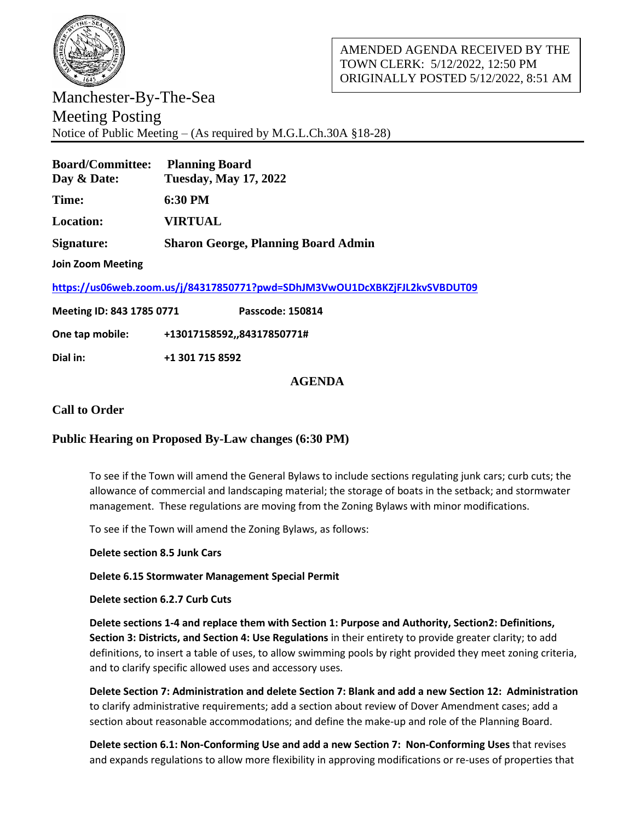

Manchester-By-The-Sea Meeting Posting Notice of Public Meeting – (As required by M.G.L.Ch.30A §18-28)

| <b>Board/Committee:</b><br>Day & Date:                                     | <b>Planning Board</b><br><b>Tuesday, May 17, 2022</b> |
|----------------------------------------------------------------------------|-------------------------------------------------------|
| Time:                                                                      | $6:30$ PM                                             |
| Location:                                                                  | <b>VIRTUAL</b>                                        |
| Signature:                                                                 | <b>Sharon George, Planning Board Admin</b>            |
| <b>Join Zoom Meeting</b>                                                   |                                                       |
| https://us06web.zoom.us/j/84317850771?pwd=SDhJM3VwOU1DcXBKZjFJL2kvSVBDUT09 |                                                       |
| Meeting ID: 843 1785 0771                                                  | Passcode: 150814                                      |
| One tap mobile:                                                            | +13017158592,,84317850771#                            |
| Dial in:                                                                   | +1 301 715 8592                                       |

## **AGENDA**

## **Call to Order**

## **Public Hearing on Proposed By-Law changes (6:30 PM)**

To see if the Town will amend the General Bylaws to include sections regulating junk cars; curb cuts; the allowance of commercial and landscaping material; the storage of boats in the setback; and stormwater management. These regulations are moving from the Zoning Bylaws with minor modifications.

To see if the Town will amend the Zoning Bylaws, as follows:

**Delete section 8.5 Junk Cars**

**Delete 6.15 Stormwater Management Special Permit** 

**Delete section 6.2.7 Curb Cuts** 

**Delete sections 1-4 and replace them with Section 1: Purpose and Authority, Section2: Definitions, Section 3: Districts, and Section 4: Use Regulations** in their entirety to provide greater clarity; to add definitions, to insert a table of uses, to allow swimming pools by right provided they meet zoning criteria, and to clarify specific allowed uses and accessory uses.

**Delete Section 7: Administration and delete Section 7: Blank and add a new Section 12: Administration** to clarify administrative requirements; add a section about review of Dover Amendment cases; add a section about reasonable accommodations; and define the make-up and role of the Planning Board.

**Delete section 6.1: Non-Conforming Use and add a new Section 7: Non-Conforming Uses** that revises and expands regulations to allow more flexibility in approving modifications or re-uses of properties that